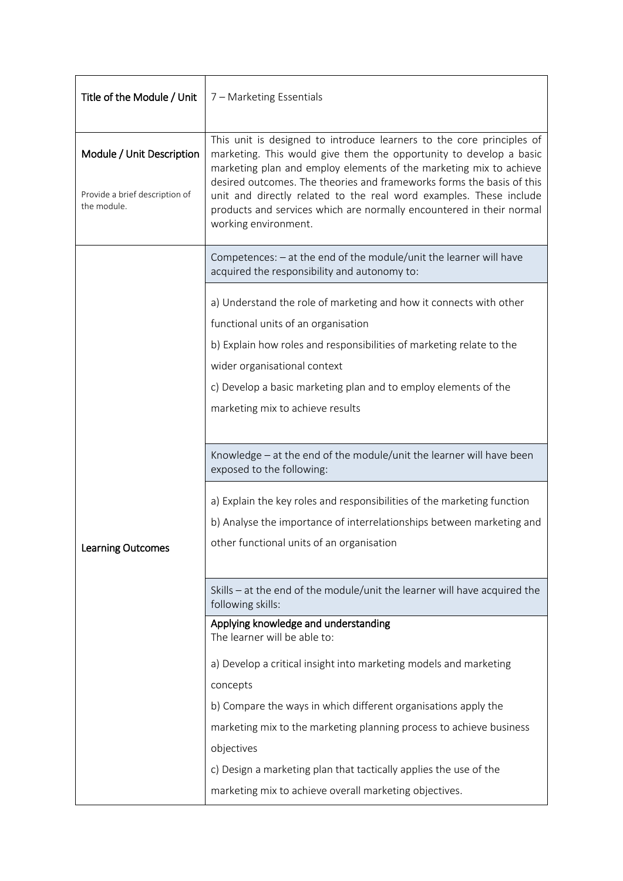| Title of the Module / Unit                    | 7 - Marketing Essentials                                                                                                                                                                                                                    |  |
|-----------------------------------------------|---------------------------------------------------------------------------------------------------------------------------------------------------------------------------------------------------------------------------------------------|--|
| Module / Unit Description                     | This unit is designed to introduce learners to the core principles of<br>marketing. This would give them the opportunity to develop a basic<br>marketing plan and employ elements of the marketing mix to achieve                           |  |
| Provide a brief description of<br>the module. | desired outcomes. The theories and frameworks forms the basis of this<br>unit and directly related to the real word examples. These include<br>products and services which are normally encountered in their normal<br>working environment. |  |
|                                               | Competences: - at the end of the module/unit the learner will have<br>acquired the responsibility and autonomy to:                                                                                                                          |  |
|                                               | a) Understand the role of marketing and how it connects with other                                                                                                                                                                          |  |
|                                               | functional units of an organisation                                                                                                                                                                                                         |  |
|                                               | b) Explain how roles and responsibilities of marketing relate to the                                                                                                                                                                        |  |
|                                               | wider organisational context                                                                                                                                                                                                                |  |
|                                               | c) Develop a basic marketing plan and to employ elements of the                                                                                                                                                                             |  |
|                                               | marketing mix to achieve results                                                                                                                                                                                                            |  |
|                                               |                                                                                                                                                                                                                                             |  |
|                                               | Knowledge - at the end of the module/unit the learner will have been<br>exposed to the following:                                                                                                                                           |  |
|                                               | a) Explain the key roles and responsibilities of the marketing function                                                                                                                                                                     |  |
|                                               | b) Analyse the importance of interrelationships between marketing and                                                                                                                                                                       |  |
| Learning Outcomes                             | other functional units of an organisation                                                                                                                                                                                                   |  |
|                                               |                                                                                                                                                                                                                                             |  |
|                                               | Skills - at the end of the module/unit the learner will have acquired the<br>following skills:                                                                                                                                              |  |
|                                               | Applying knowledge and understanding<br>The learner will be able to:                                                                                                                                                                        |  |
|                                               | a) Develop a critical insight into marketing models and marketing                                                                                                                                                                           |  |
|                                               | concepts                                                                                                                                                                                                                                    |  |
|                                               | b) Compare the ways in which different organisations apply the                                                                                                                                                                              |  |
|                                               | marketing mix to the marketing planning process to achieve business                                                                                                                                                                         |  |
|                                               | objectives                                                                                                                                                                                                                                  |  |
|                                               | c) Design a marketing plan that tactically applies the use of the                                                                                                                                                                           |  |
|                                               | marketing mix to achieve overall marketing objectives.                                                                                                                                                                                      |  |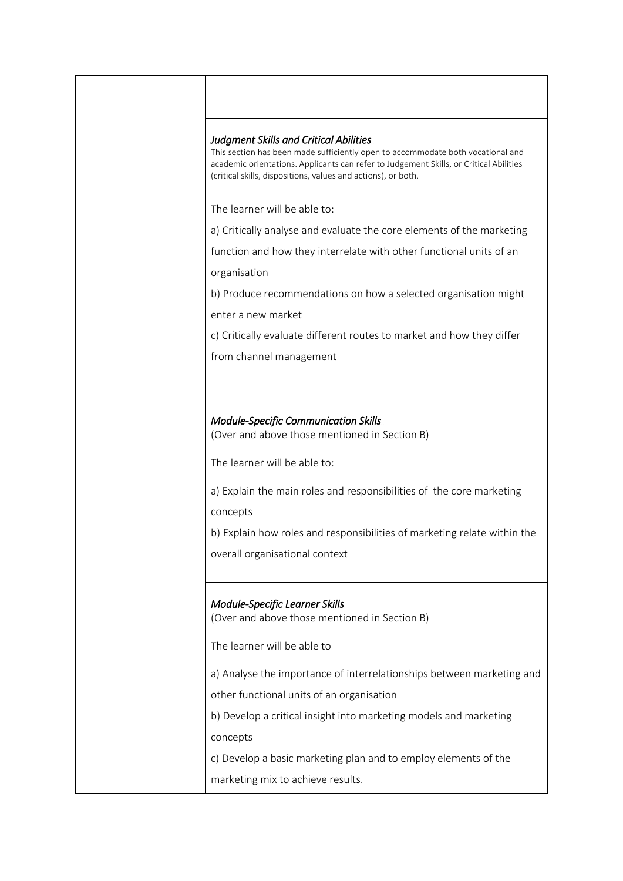| <b>Judgment Skills and Critical Abilities</b> | This section has been made sufficiently open to accommodate both vocational and<br>academic orientations. Applicants can refer to Judgement Skills, or Critical Abilities<br>(critical skills, dispositions, values and actions), or both. |
|-----------------------------------------------|--------------------------------------------------------------------------------------------------------------------------------------------------------------------------------------------------------------------------------------------|
| The learner will be able to:                  |                                                                                                                                                                                                                                            |
|                                               | a) Critically analyse and evaluate the core elements of the marketing                                                                                                                                                                      |
| organisation                                  | function and how they interrelate with other functional units of an                                                                                                                                                                        |
| enter a new market                            | b) Produce recommendations on how a selected organisation might                                                                                                                                                                            |
|                                               | c) Critically evaluate different routes to market and how they differ                                                                                                                                                                      |
| from channel management                       |                                                                                                                                                                                                                                            |
|                                               |                                                                                                                                                                                                                                            |
|                                               |                                                                                                                                                                                                                                            |
|                                               | <b>Module-Specific Communication Skills</b><br>(Over and above those mentioned in Section B)                                                                                                                                               |
| The learner will be able to:                  |                                                                                                                                                                                                                                            |
| concepts                                      | a) Explain the main roles and responsibilities of the core marketing                                                                                                                                                                       |
|                                               | b) Explain how roles and responsibilities of marketing relate within the                                                                                                                                                                   |
| overall organisational context                |                                                                                                                                                                                                                                            |
|                                               |                                                                                                                                                                                                                                            |
| Module-Specific Learner Skills                | (Over and above those mentioned in Section B)                                                                                                                                                                                              |
| The learner will be able to                   |                                                                                                                                                                                                                                            |
|                                               | a) Analyse the importance of interrelationships between marketing and                                                                                                                                                                      |
|                                               | other functional units of an organisation                                                                                                                                                                                                  |
|                                               | b) Develop a critical insight into marketing models and marketing                                                                                                                                                                          |
| concepts                                      |                                                                                                                                                                                                                                            |
|                                               | c) Develop a basic marketing plan and to employ elements of the                                                                                                                                                                            |
| marketing mix to achieve results.             |                                                                                                                                                                                                                                            |